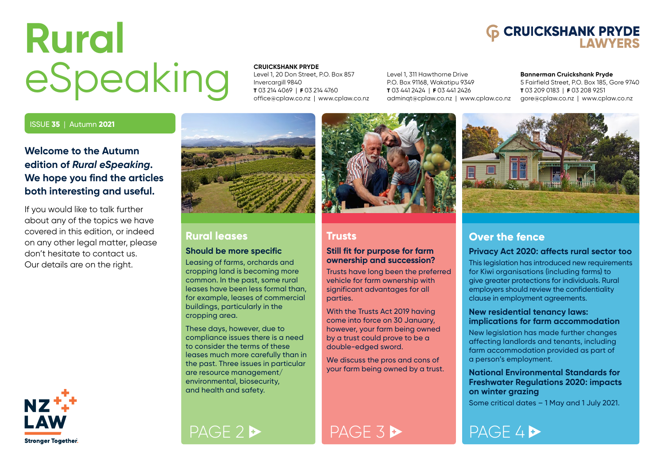# <span id="page-0-0"></span>**Rural** eSpeaking

# **6 CRUICKSHANK PRYDE**

#### **CRUICKSHANK PRYDE**

Level 1, 20 Don Street, P.O. Box 857 Invercargill 9840 **T** 03 214 4069 | **F** 03 214 4760 [office@cplaw.co.nz](mailto:office%40cplaw.co.nz?subject=) | [www.cplaw.co.nz](http://www.cplaw.co.nz)

Level 1, 311 Hawthorne Drive P.O. Box 91168, Wakatipu 9349 **T** 03 441 2424 | **F** 03 441 2426 [adminqt@cplaw.co.nz](mailto:adminqt%40cplaw.co.nz?subject=) | [www.cplaw.co.nz](http://www.cplaw.co.nz)

#### **Bannerman Cruickshank Pryde**

5 Fairfield Street, P.O. Box 185, Gore 9740 **T** 03 209 0183 | **F** 03 208 9251 [gore@cplaw.co.nz](mailto:gore%40cplaw.co.nz?subject=) | [www.cplaw.co.nz](http://www.cplaw.co.nz)

### ISSUE **35** | Autumn **2021**

### **Welcome to the Autumn edition of** *Rural eSpeaking***. We hope you find the articles both interesting and useful.**

If you would like to talk further about any of the topics we have covered in this edition, or indeed on any other legal matter, please don't hesitate to contact us. Our details are on the right.



### **Rural leases**

### **Should be more specific**

Leasing of farms, orchards and cropping land is becoming more common. In the past, some rural leases have been less formal than, for example, leases of commercial buildings, particularly in the cropping area.

These days, however, due to compliance issues there is a need to consider the terms of these leases much more carefully than in the past. Three issues in particular are resource management/ environmental, biosecurity, and health and safety.



### **Trusts**

### **Still fit for purpose for farm ownership and succession?**

Trusts have long been the preferred vehicle for farm ownership with significant advantages for all parties.

With the Trusts Act 2019 having come into force on 30 January, however, your farm being owned by a trust could prove to be a double-edged sword.

We discuss the pros and cons of your farm being owned by a trust.



### **Over the fence**

### **Privacy Act 2020: affects rural sector too**

This legislation has introduced new requirements for Kiwi organisations (including farms) to give greater protections for individuals. Rural employers should review the confidentiality clause in employment agreements.

### **New residential tenancy laws: implications for farm accommodation**

New legislation has made further changes affecting landlords and tenants, including farm accommodation provided as part of a person's employment.

### **National Environmental Standards for Freshwater Regulations 2020: impacts on winter grazing**

Some critical dates – 1 May and 1 July 2021.

[PAGE 2](#page-1-0) [PAGE 3](#page-2-0) [PAGE 4](#page-3-0) PAGE 4 P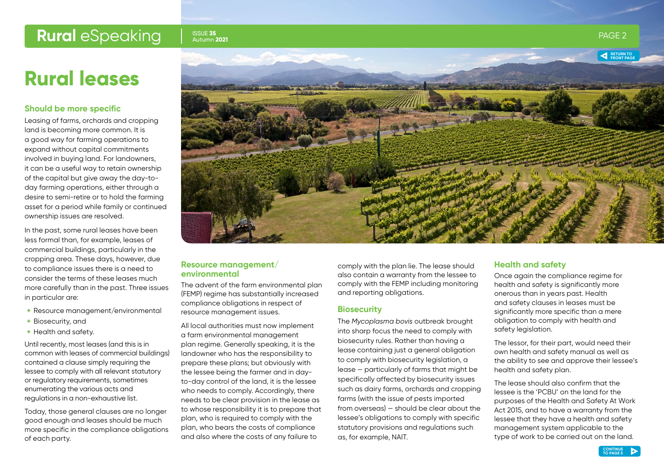### ISSUE **35**

## **Rural leases**

### **Should be more specific**

Leasing of farms, orchards and cropping land is becoming more common. It is a good way for farming operations to expand without capital commitments involved in buying land. For landowners, it can be a useful way to retain ownership of the capital but give away the day-today farming operations, either through a desire to semi-retire or to hold the farming asset for a period while family or continued ownership issues are resolved.

In the past, some rural leases have been less formal than, for example, leases of commercial buildings, particularly in the cropping area. These days, however, due to compliance issues there is a need to consider the terms of these leases much more carefully than in the past. Three issues in particular are:

- **+** Resource management/environmental
- **+** Biosecurity, and
- **+** Health and safety.

Until recently, most leases (and this is in common with leases of commercial buildings) contained a clause simply requiring the lessee to comply with all relevant statutory or regulatory requirements, sometimes enumerating the various acts and regulations in a non-exhaustive list.

Today, those general clauses are no longer good enough and leases should be much more specific in the compliance obligations of each party.

<span id="page-1-0"></span>

### **Resource management/ environmental**

The advent of the farm environmental plan (FEMP) regime has substantially increased compliance obligations in respect of resource management issues.

All local authorities must now implement a farm environmental management plan regime. Generally speaking, it is the landowner who has the responsibility to prepare these plans; but obviously with the lessee being the farmer and in dayto-day control of the land, it is the lessee who needs to comply. Accordingly, there needs to be clear provision in the lease as to whose responsibility it is to prepare that plan, who is required to comply with the plan, who bears the costs of compliance and also where the costs of any failure to

comply with the plan lie. The lease should also contain a warranty from the lessee to comply with the FEMP including monitoring and reporting obligations.

### **Biosecurity**

The *Mycoplasma bovis* outbreak brought into sharp focus the need to comply with biosecurity rules. Rather than having a lease containing just a general obligation to comply with biosecurity legislation, a lease — particularly of farms that might be specifically affected by biosecurity issues such as dairy farms, orchards and cropping farms (with the issue of pests imported from overseas) — should be clear about the lessee's obligations to comply with specific statutory provisions and regulations such as, for example, NAIT.

### **Health and safety**

Once again the compliance regime for health and safety is significantly more onerous than in years past. Health and safety clauses in leases must be significantly more specific than a mere obligation to comply with health and safety legislation.

The lessor, for their part, would need their own health and safety manual as well as the ability to see and approve their lessee's health and safety plan.

The lease should also confirm that the lessee is the 'PCBU' on the land for the purposes of the Health and Safety At Work Act 2015, and to have a warranty from the lessee that they have a health and safety management system applicable to the type of work to be carried out on the land.

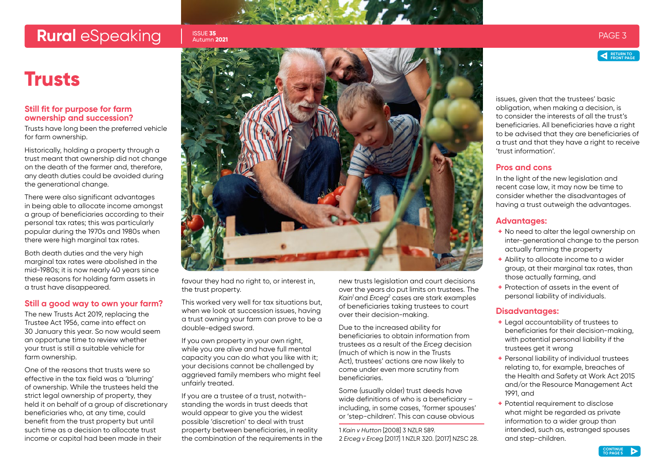## <span id="page-2-0"></span>**Rural** eSpeaking Issue 35 esternal participate of the second page 3 entitled by the second page 3 entitled by the second page 3

#### ISSUE **35** Autumn **2021**

### **Trusts**

### **Still fit for purpose for farm ownership and succession?**

Trusts have long been the preferred vehicle for farm ownership.

Historically, holding a property through a trust meant that ownership did not change on the death of the farmer and, therefore, any death duties could be avoided during the generational change.

There were also significant advantages in being able to allocate income amongst a group of beneficiaries according to their personal tax rates; this was particularly popular during the 1970s and 1980s when there were high marginal tax rates.

Both death duties and the very high marginal tax rates were abolished in the mid-1980s; it is now nearly 40 years since these reasons for holding farm assets in a trust have disappeared.

### **Still a good way to own your farm?**

The new Trusts Act 2019, replacing the Trustee Act 1956, came into effect on 30 January this year. So now would seem an opportune time to review whether your trust is still a suitable vehicle for farm ownership.

One of the reasons that trusts were so effective in the tax field was a 'blurring' of ownership. While the trustees held the strict legal ownership of property, they held it on behalf of a group of discretionary beneficiaries who, at any time, could benefit from the trust property but until such time as a decision to allocate trust income or capital had been made in their



favour they had no right to, or interest in, the trust property.

This worked very well for tax situations but, when we look at succession issues, having a trust owning your farm can prove to be a double-edged sword.

If you own property in your own right, while you are alive and have full mental capacity you can do what you like with it; your decisions cannot be challenged by aggrieved family members who might feel unfairly treated.

If you are a trustee of a trust, notwithstanding the words in trust deeds that would appear to give you the widest possible 'discretion' to deal with trust property between beneficiaries, in reality the combination of the requirements in the new trusts legislation and court decisions over the years do put limits on trustees. The *Kain1*and *Erceg2* cases are stark examples of beneficiaries taking trustees to court over their decision-making.

Due to the increased ability for beneficiaries to obtain information from trustees as a result of the *Erceg* decision (much of which is now in the Trusts Act), trustees' actions are now likely to come under even more scrutiny from beneficiaries.

Some (usually older) trust deeds have wide definitions of who is a beneficiary – including, in some cases, 'former spouses' or 'step-children'. This can cause obvious

1 *Kain v Hutton* [2008] 3 NZLR 589. 2 *Erceg v Erceg* [2017] 1 NZLR 320. [2017] NZSC 28. issues, given that the trustees' basic obligation, when making a decision, is to consider the interests of all the trust's beneficiaries. All beneficiaries have a right to be advised that they are beneficiaries of a trust and that they have a right to receive 'trust information'.

### **Pros and cons**

In the light of the new legislation and recent case law, it may now be time to consider whether the disadvantages of having a trust outweigh the advantages.

### **Advantages:**

- **+** No need to alter the legal ownership on inter-generational change to the person actually farming the property
- **+** Ability to allocate income to a wider group, at their marginal tax rates, than those actually farming, and
- **+** Protection of assets in the event of personal liability of individuals.

### **Disadvantages:**

- **+** Legal accountability of trustees to beneficiaries for their decision-making, with potential personal liability if the trustees get it wrong
- **+** Personal liability of individual trustees relating to, for example, breaches of the Health and Safety at Work Act 2015 and/or the Resource Management Act 1991, and
- **+** Potential requirement to disclose what might be regarded as private information to a wider group than intended, such as, estranged spouses and step-children.

**RETURN TO [FRONT PAGE](#page-0-0)**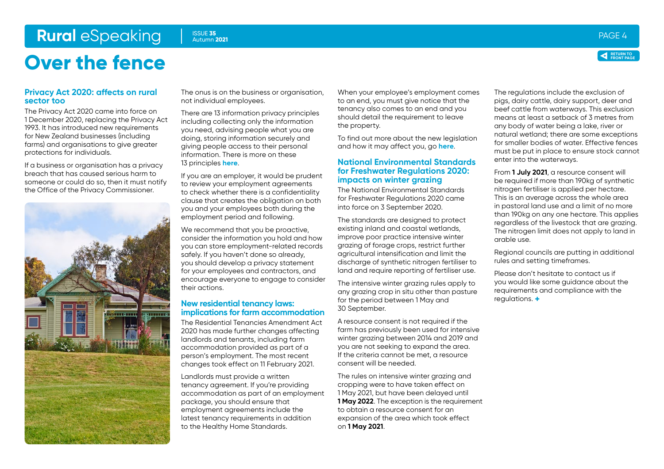# <span id="page-3-0"></span>**Rural** eSpeaking ISSUE 35 Adition 2021 **Rural PAGE 4** PAGE 4

Autumn **2021**

# **Over the fence**

### **Privacy Act 2020: affects on rural sector too**

The Privacy Act 2020 came into force on 1 December 2020, replacing the Privacy Act 1993. It has introduced new requirements for New Zealand businesses (including farms) and organisations to give greater protections for individuals.

If a business or organisation has a privacy breach that has caused serious harm to someone or could do so, then it must notify the Office of the Privacy Commissioner.



The onus is on the business or organisation, not individual employees.

There are 13 information privacy principles including collecting only the information you need, advising people what you are doing, storing information securely and giving people access to their personal information. There is more on these 13 principles **[here](https://www.privacy.org.nz/privacy-act-2020/privacy-principles/)**.

If you are an employer, it would be prudent to review your employment agreements to check whether there is a confidentiality clause that creates the obligation on both you and your employees both during the employment period and following.

We recommend that you be proactive, consider the information you hold and how you can store employment-related records safely. If you haven't done so already, you should develop a privacy statement for your employees and contractors, and encourage everyone to engage to consider their actions.

### **New residential tenancy laws: implications for farm accommodation**

The Residential Tenancies Amendment Act 2020 has made further changes affecting landlords and tenants, including farm accommodation provided as part of a person's employment. The most recent changes took effect on 11 February 2021.

Landlords must provide a written tenancy agreement. If you're providing accommodation as part of an employment package, you should ensure that employment agreements include the latest tenancy requirements in addition to the Healthy Home Standards.

When your employee's employment comes to an end, you must give notice that the tenancy also comes to an end and you should detail the requirement to leave the property.

To find out more about the new legislation and how it may affect you, go **[here](https://www.tenancy.govt.nz/about-tenancy-services/news/residential-tenancies-amendment-act-2020-now-in-force/)**.

### **National Environmental Standards for Freshwater Regulations 2020: impacts on winter grazing**

The National Environmental Standards for Freshwater Regulations 2020 came into force on 3 September 2020.

The standards are designed to protect existing inland and coastal wetlands, improve poor practice intensive winter grazing of forage crops, restrict further agricultural intensification and limit the discharge of synthetic nitrogen fertiliser to land and require reporting of fertiliser use.

The intensive winter grazing rules apply to any grazing crop in situ other than pasture for the period between 1 May and 30 September.

A resource consent is not required if the farm has previously been used for intensive winter grazing between 2014 and 2019 and you are not seeking to expand the area. If the criteria cannot be met, a resource consent will be needed.

The rules on intensive winter grazing and cropping were to have taken effect on 1 May 2021, but have been delayed until **1 May 2022.** The exception is the requirement to obtain a resource consent for an expansion of the area which took effect on **1 May 2021**.

The regulations include the exclusion of pigs, dairy cattle, dairy support, deer and beef cattle from waterways. This exclusion means at least a setback of 3 metres from any body of water being a lake, river or natural wetland; there are some exceptions for smaller bodies of water. Effective fences must be put in place to ensure stock cannot enter into the waterways.

From **1 July 2021**, a resource consent will be required if more than 190kg of synthetic nitrogen fertiliser is applied per hectare. This is an average across the whole area in pastoral land use and a limit of no more than 190kg on any one hectare. This applies regardless of the livestock that are grazing. The nitrogen limit does not apply to land in arable use.

Regional councils are putting in additional rules and setting timeframes.

Please don't hesitate to contact us if you would like some guidance about the requirements and compliance with the regulations. **+**